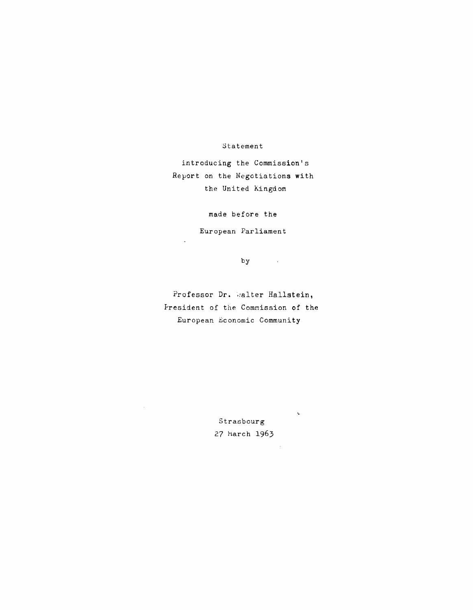# Statement

introducing the Commission's Report on the Negotiations with the United Kingdom

made before the

European Parliament

by

 $\mathcal{L}^{\text{max}}_{\text{max}}$ 

 $\mathbf{v}$ 

 $\mathcal{A}$ 

Professor Dr. Walter Hallstein, fresident of the Commission of the European Economic Community

> Strasbourg 27 March 1963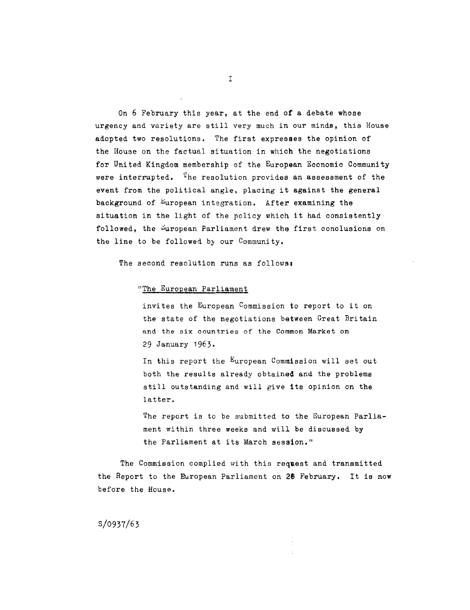On 6 February this year, at the end of a debate whose urgency and variety are still very much in our minds, this House adopted two resolutions, The first expresses the opinion of the House on the factual situation in which the negotiations for United Kingdom membership of the European Economic Community were interrupted.  ${}^{1}$ he resolution provides an assessment of the event from the political angle, placing it against the general background of European integration. After examining the situation in the light of the policy which it had consistently followed, the European Parliament drew the first conclusions on the line to be followed by our Community.

The second resolution runs as follows:

# "The European Parliament

invites the European Commission to report to it on the state of the negotiations between Great Britain and the six countries of the Common Market on 29 January 1963.

In this report the European Commission will set out both the results already obtained and the problems still outstanding and will give its opinion on the latter.

The report is to be submitted to the European Parliament within three weeks and will be discussed by the Parliament at its March session."

The Commission complied with this request and transmitted the Report to the European Parliament on 28 February. It is now before the House.

S/0937/63

I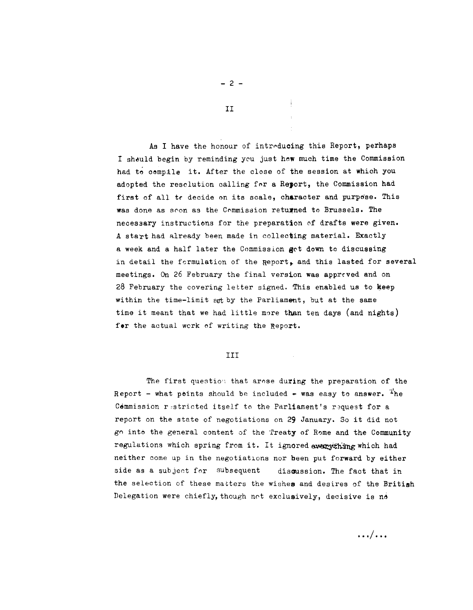As I have the honour of intreducing this Report, perhaps I should begin by reminding you just how much time the Commission had to compile it. After the close of the session at which you adopted the resolution calling for a Report, the Commission had first of all tr decide on its scale, character and purpose. This was done as soon as the Commission returned to Brussels. The necesaary instructions for the preparation cf drafts were given. A start had already been made in collecting material. Exactly a week and a half later the Commission get down to discussing in detail the formulation of the Report, and this lasted for several meetings. On 26 February the final version was apprrved and on  $28$  February the covering letter signed. This enabled us to keep within the time-limit set by the Parliament, but at the same time it meant that we had little mare than ten days (and nights) for the actual work of writing the Report.

## III

The first question that arose during the preparation of the Report - what points should be included  $\div$  was easy to answer. The Commission restricted itself to the Parliament's request for a report on the state of negotiations on 29 January. So it did not go into the general content of the Treaty of Rome and the Community regulations which spring from it. It ignored everything which had neither come up in the negotiations nor been put forward by either side as a subject for subsequent discussion. The fact that in the selection of these matters the wishes and desires of the British Delegation were chiefly, though not exclusively, decisive is no

II

 $- 2 -$ 

. . . . . .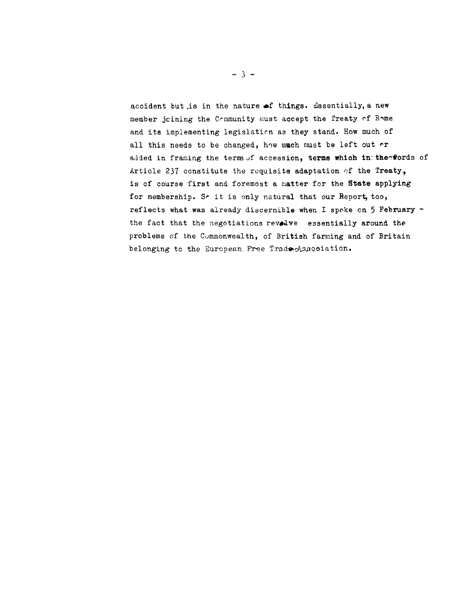accident but is in the nature of things. Essentially, a new member joining the Community must accept the Treaty of Rome and its implementing legislation as they stand. How much of all this needs to be changed, how much must be left out rr added in framing the terms of accession, terms which in the words of Article 237 constitute the requisite adaptation of the Treaty. is of course first and foremost a matter for the State applying for membership. So it is only natural that our Report, too, reflects what was already discernible when I spoke on 5 February the fact that the negotiations revolve essentially around the problems of the Commonwealth, of British farming and of Britain belonging to the European Free Trade Association.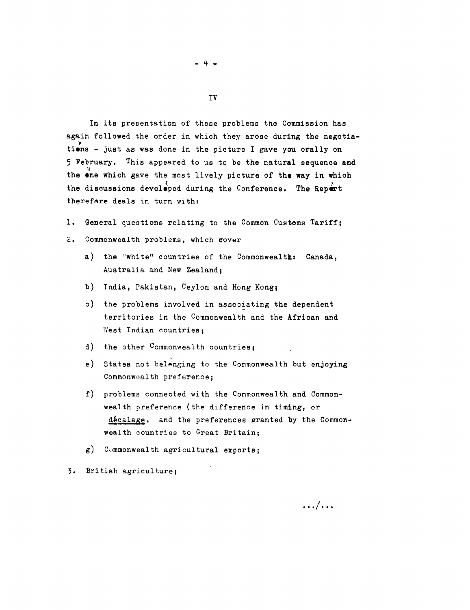In its presentation of these problems the Commission has again followed the order in which they arose during the negotia tions - just as was done in the picture I gave you orally on 5 February. This appeared to us to be the natural sequence and the  $\sum_{i=1}^N$  which gave the most lively picture of the way in which the discussions developed during the Conference. The Repert therefore deals in turn with:

- l. General questions relating to the Common Customs Tariff;
- 2. Commonwealth problems, which aover
	- a) the "white" countries of the Commonwealth: Canada, Australia and New Zealand;
	- b) India, Pakistan, Ceylon and Hong Kong;
	- c) the problems involved in associating the dependent territories in the Commonwealth and the African and West Indian countries:
	- d) the other Commonwealth countries;
	- e) States not belanging to the Commonwealth but enjoying Commonwealth preference;
	- f) problems connected with the Commonwealth and Commonwealth preference (the difference in timing, or décalage, and the preferences granted by the Commonwealth countries to Great Britain;
	- $g$ ) Commonwealth agricultural exports;

3· British agriculture;

- 4 -

IV

 $\ldots / \ldots$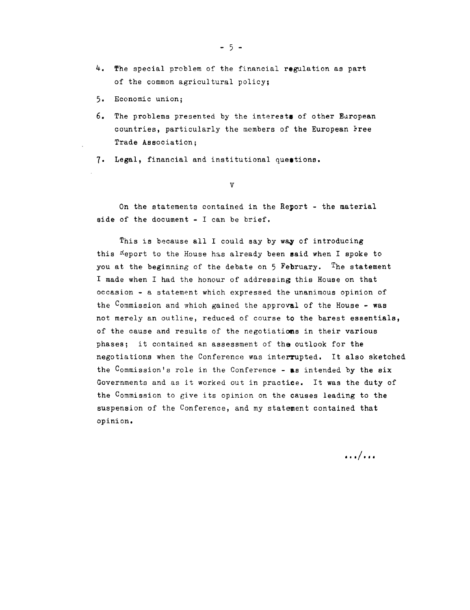- $-5 -$
- 4. The special problem of the financial regulation as part of the common agricultural policy;
- 5. Economic union;
- 6. The problems presented by the interests of other European countries, particularly the members of the European Free Trade Association;
- 7. Legal, financial and institutional questions.

v

On the statements contained in the Report - the material side of the document - I can be brief.

This is because all I could say by way of introducing this <sup>n</sup>eport to the House has already been said when I spoke to you at the beginning of the debate on 5 February. The statement I made when I had the honour of addressing this House on that occasion - a statement which expressed the unanimous opinion of the  $C$ ommission and which gained the approval of the House - was not merely an outline, reduced of course *to* the barest essentials, of the cause and results of the negotiations in their various phases; it contained an assessment of tha outlook for the negotiations when the Conference was interrupted. It also sketched the Commission's role in the Conference - as intended by the  $\boldsymbol{\mathsf{six}}$ Governments and as it worked out in practice. It was the duty of the Commission to give its opinion on the causes leading to the suspension of the Conference, and my statement contained that opinion.

 $\ldots$   $\ldots$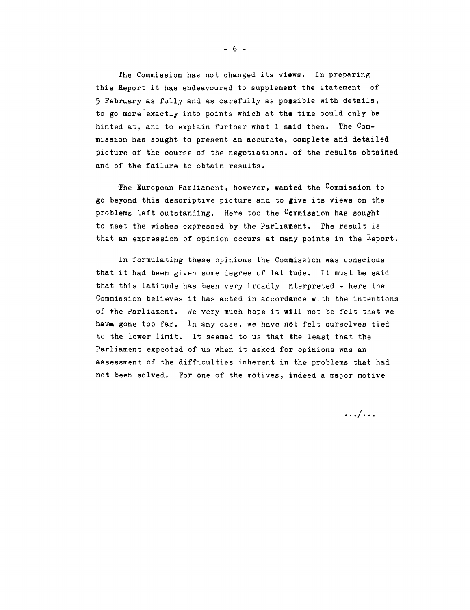The Commission has not changed its views. In preparing this Report it has endeavoured to supplement the statement of 5 February as fully and as carefully as poesible with details, to go more exactly into points which at the time could only be hinted at, and to explain further what I said then. The Commission has sought to present an accurate, complete and detailed picture of the course of the negotiations, of the results obtained and of the failure to obtain results.

The European Parliament, however, wanted the Commission to go beyond this descriptive picture and to give its views on the problems left outstanding. Here too the Commission has sought to meet the wishes expressed by the Parliament, The result is that an expression of opinion occurs at many points in the Report.

In formulating these opinions the Commission was conscious that it had been given some degree of latitude. It must be said that this latitude has been very broadly interpreted - here the Commission believes it has acted in accordance with the intentions of the Parliament. We very much hope it will not be felt that we have gone too far. In any case, we have not felt ourselves tied to the lower limit. It seemed to us that the least that the Parliament expected of us when it asked for opinions was an assessment of the difficulties inherent in the problems that had not been solved. For one of the motives, indeed a major motive

 $\ldots$   $/ \ldots$ 

 $- 6 -$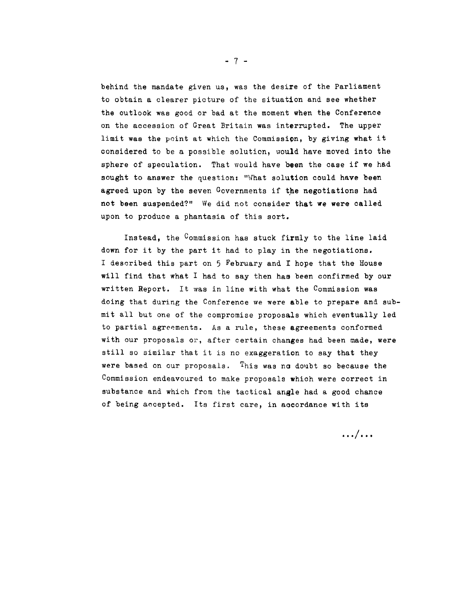behind the mandate given us, was the desire of the Parliament to obtain a clearer picture of the situation and see whether the outlook was good or bad at the moment when the Conference on the accession of Great Britain was interrupted. The upper limit was the point at which the Commission, by giving what it considered to be a possible solution, uould have moved into the sphere of speculation. That would have been the case if we had sought to answer the question: "What solution could have been agreed upon by the seven Governments if the negotiations had not been suspended?" We did not consider that we were called upon to produce a phantasia of this sort.

Instead, the Commission has stuck firmly to the line laid down for it by the part it had to play in the negotiations. I described this part on 5 February and I hope that the House will find that what I had to say then has been confirmed by our written Report. It was in line with what the Commission was doing that during the Conference we were able to prepare and submit all but one of the compromise proposals which eventually led to partial agreements. As a rule, these agreements conformed with our proposals or, after certain changes had been made, were still so similar that it is no exaggeration to say that they were based on our proposals. This was no doubt so because the Commission endeavoured to make proposals which were correct in substance and which from the tactical angle had a good chance of being accepted. Its first care, in aocordance with its

 $\ldots$   $\ldots$ 

- 7 -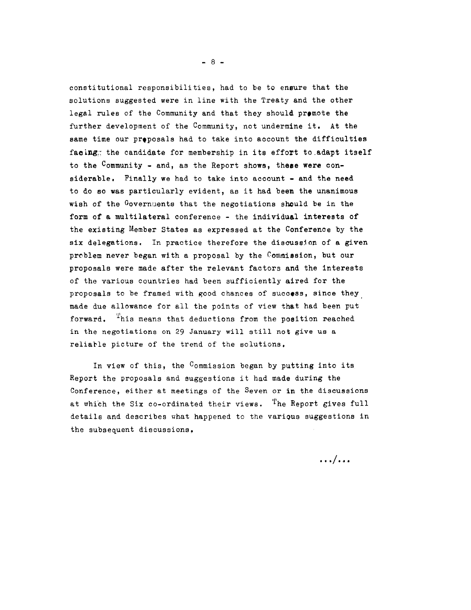constitutional responsibilities, had to be to ensure that the solutions suggested were in line with the Treaty and the other legal rules of the Community and that they should premote the further development of the Community, not undermine it. At the same time our proposals had to take into account the difficulties facing; the candidate for membership in its effort to adapt itself to the Community - and, as the Report shows, these were considerable. Finally we had to take into account - and the need to do so was particularly evident, as it had been the unanimous wish of the Governuents that the negotiations should be in the form of a multilateral conference - the individual interests of the existing Member States as expressed at the Conference by the six delegations. In practice therefore the discussion of a given problem never began with a proposal by the Commission, but our proposals were made after the relevant factors and the interests of the various countries had been sufficiently aired for the proposals to be framed with good chances of success, since they made due allowance for all the points of view that had been put forward. <sup>T</sup>his means that deductions from the position reached in the negotiations on 29 January will still not give us a reliarle picture of the trend of the solutions.

In view of this, the Commission began by putting into its Report the proposals and suggestions it had made during the Conference, either at meetings of the Seven or in the discussions at which the Six co-ordinated their views. <sup>T</sup>he Report gives full details and describes what happened to the various suggestions in the subsequent discussions.

 $\ldots/$ ...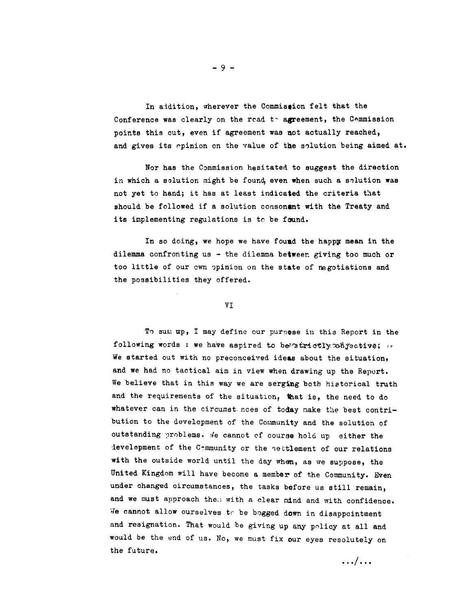In addition, wherever the Commission felt that the Conference was clearly on the read  $t<sub>1</sub>$  agreement, the Commission points this out, even if agreement was not actually reached, and gives its opinion on the value of the solution being aimed at.

Nor has the Commission hesitated to suggest the direction in which a solution might be found, even when such a solution was not yet to hand; it has at least indicated the criteria that should be followed if a solution consonant with the Treaty and its implementing regulations is tc be found.

In so doing, we hope we have found the happy mean in the dilemma confronting us - the dilemma between giving too much or too little of our cwn opinion on the state of negotiations and the possibilities they offered.

VI

To sum up, I may define our purpose in this Report in the following words : we have aspired to be atrictly. Objective;  $\ell$ We started out with no preconceived ideas about the situation, and we had no tactical aim in view when drawing up the Report. We believe that in this way we are serging both historical truth and the requirements of the situation, that is, the need to do whatever can in the circumst noes of today make the best contribution to the development of the Community and the solution of outstanding problems. We cannot of course hold up either the development of the C-mmunity or the settlement of our relations with the outside world until the day when, as we suppose, the United Kingdom will have become a member of the Community. Even under changed circumstances, the tasks before us still remain, and we must approach then with a clear mind and with confidence. We cannot allow ourselves to be bogged down in disappointment and resignation. That would be giving up any policy at all and would be the end of us. No, we must fix our eyes resolutely on the future.

 $\ldots$   $/$  . . .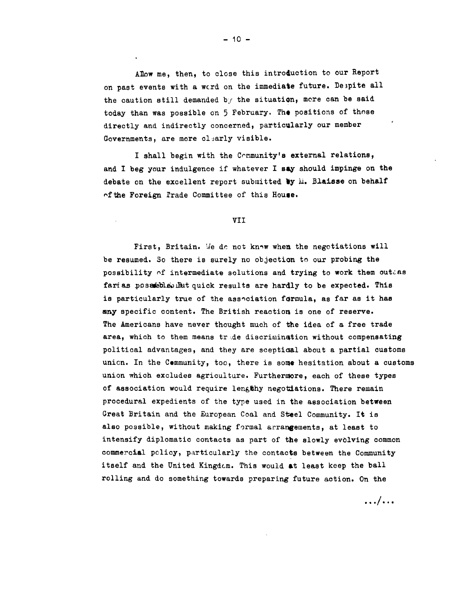Allow me, then, to close this introduction to our Report on past events with a wcrd on the immediate future. De3pite all the caution still demanded by the situation, more can be said today than was possible on 5 February. The positions of those directly and indirectly concerned, particularly our member Governments, are more clearly visible.

I shall begin with the Community's external relations, and I beg your indulgence if whatever I say should impinge on the debate on the excellent report submitted by  $\mathbf{h}$ . Blaisse on behalf of the Foreign Prade Committee of this House.

#### VII

First, Britain. We do not know when the negotiations will be resumed. So there is surely no objection to our probing the possibility  $of$  intermediate solutions and trying to work them outaas farías posathe. But quick results are hardly to be expected. This is particularly true of the association formula, as far as it has any specific content. The British reaction is one of reserve. The Americans have never thought much of the idea of a free trade area, which to them means trade discrimination without compensating political advantages, and they are sceptiaal about a partial customs unicn. In the Community, too, there is some hesitation about a customs union which excludes agriculture. Furthermore, each of these types of association would require lengthy negotiations. There remain procedural expedients of the type used in the association between Great Britain and the European Coal and Steel Community. It is also possible, without making formal arrangements, at least to intensify diplomatic contacts as part of the slowly evolving common commercial policy, particularly the contacts between the Community itself and the United Kingdom. This would at least keep the ball rolling and do something towards preparing future action. On the

 $\ldots$   $\ldots$ 

 $- 10 -$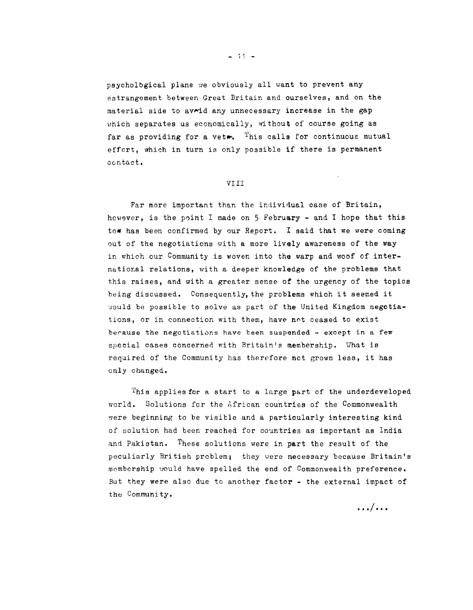psychological plane we obviously all want to prevent any estrangement between Great Britain and ourselves, and on the material side to av $\sim$ id any unnecessary increase in the gap which separates us economically, without of course going as far as providing for a vet... This calls for continuous mutual effort, which in turn is only possible if there is permanent contact.

## VIII

Far more important than the individual case of Britain, however, is the point I made on  $5$  February - and I hope that this to whas been confirmed by our Report. I said that we were coming out of the negotiations with a more lively awareness of the way in which our Community is woven into the warp and woof of international relations, with a deeper knowledge of the problems that this raises, and with a greater sense of the urgency of the topics being discussed. Consequently, the problems which it seemed it ~ould be possible to solve as part of the United Kingdom negotiations, or in connection with them, have not ceased to exist because the negotiations have been suspended - except in a few special cases concerned with Britain's membership. Vhat is required of the Community has therefore not grown less, it has only changed.

This applies for a start to a large part of the underdeveloped world. Solutions for the African countries of the Commonwealth were beginning to be visible and a particularly interesting kind of solution had been reached for countries as important as India and Pakistan. These solutions were in part the result of the peculiarly British problem; they vere necessary because Britain's mombership would have spelled the end of Commonwealth preference. But they were also due to another factor - the external impact of the Community,

 $\ldots$   $\ldots$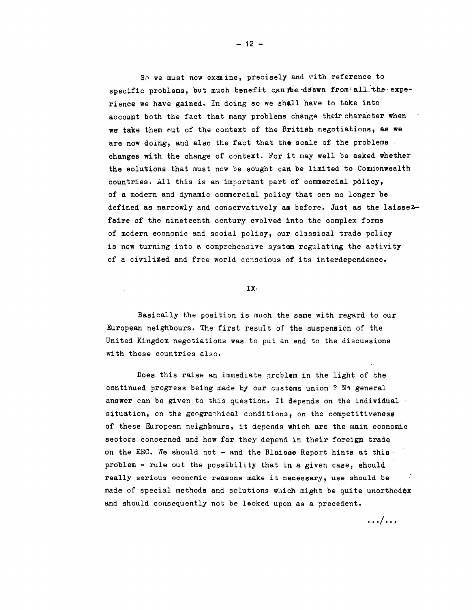So we must now examine, precisely and rith reference to specific problems, but much benefit can nee drawn from all the experience we have gained. In doing so we shall have to take into account both the fact that many problems change their character when we take them out of the context of the British negotiations, as we are now doing, and also the fact that the scale of the problems changes with the change of context. For it may well be asked whether the solutions that must now be sought can be limited to Commonwealth countries. *All* this is an important part of commercial policy, of a modern and dynamic commercial policy that can no longer be defined as narrowly and conservatively as before. Just as the laissezfaire of the nineteenth century evolved into the complex forms of modern economic and social policy, our classical trade policy is now turning into *e.* comprehensive system regulating the activity of a civilized and free world conscious of its interdependence.

IX•

Basically the position is much the same with regard to our European neighbours. The first result of the suspension of the United Kingdom negotiations was to put an end to the discussions with these countries also.

Does this raise an immediate problem in the light of the continued progress being made by our customs union ? No general answer can be given to this question. It depends on the individual situation, on the geographical conditions, on the competitiveness of these European neighbours, it depends which are the main economic sectors concerned and how far they depend in their foreign trade on the EEC. We should not - and the Blaisse Report hints at this problem - rule out the possibility that in a given case, should really serious economic reasons make it necessary, use should be made of special methods and solutions which might be quite unorthodox and should consequently not be looked upon as a precedent.

. .. I ...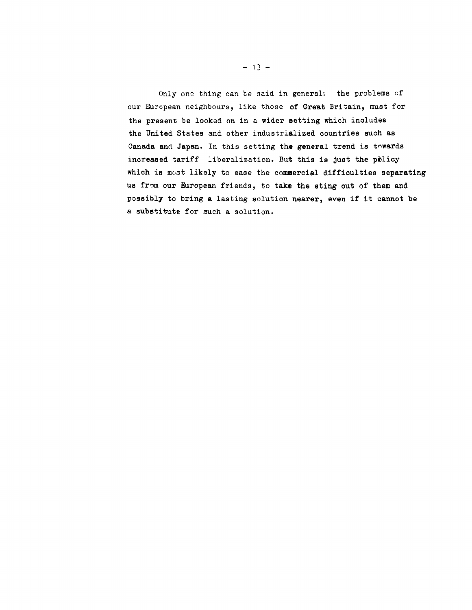Only one thing can be said in general: the problems of our European neighbours, like those of Great Britain, must for the present be looked on in a wider setting which includes the United States and other industrialized countries such as Canada and Japan. In this setting the general trend is towards increased tariff liberalization. But this is just the policy which is most likely to ease the commercial difficulties separating us from our European friends, to take the sting out of them and possibly to bring a lasting solution nearer, even if it cannot be a substitute for such a solution.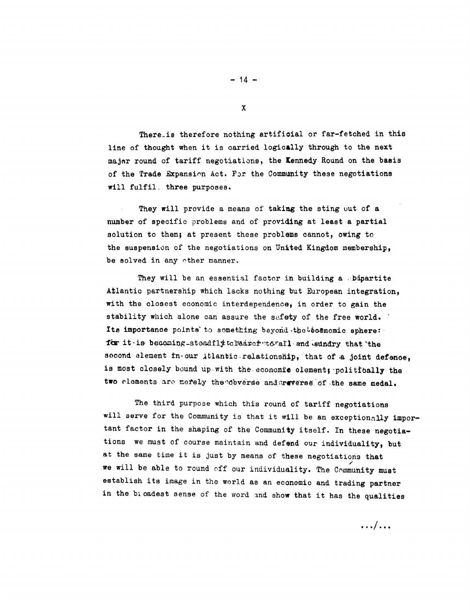There is therefore nothing artificial or far-fetched in this line of thought when it is carried logically through to the next major round of tariff negotiations, the Kennedy Round on the basis of the Trade Expansion Act. For the Community these negotiations will fulfil. three purposes.

They will provide a means of taking the sting out of a number of specific problems and of providing at least a partial solution to them; at present these problems cannot, owing to the suspension of the negotiations on United Kingdom membership. be solved in any other manner.

They will be an essential factor in building a bipartite Atlantic partnership which lacks nothing but European integration. with the closest economic interdependence, in order to gain the stability which alone can assure the safety of the free world. Its importance points to something beyond the becomomic sphere: for it is becoming steadily to rearch to rail and sundry that the socond element in our Atlantic relationship, that of a joint defence, is most closely bound up with the economic element; politically the two elements are merely the cobverse and reverse of the same medal.

The third purpose which this round of tariff negotiations will serve for the Community is that it will be an exceptionally important factor in the shaping of the Community itself. In these negotiations we must of course maintain and defend our individuality, but at the same time it is just by means of these negotiations that we will be able to round off our individuality. The Community must establish its image in the world as an economic and trading partner in the bioadest sense of the word and show that it has the qualities

 $-14 -$ 

 $\mathbf x$ 

 $\ldots/$ ...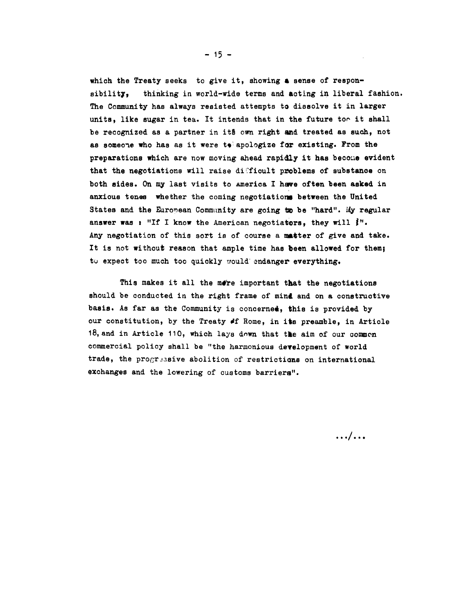which the Treaty seeks to give it, showing a sense of responsibility, thinking in world-wide terms and acting in liberal fashion. The Community has always resisted attempts to dissolve it in larger units, like sugar in tea. It intends that in the future too it shall be recognized as a partner in it§ own right and treated as such, not as someone who has as it were to apologize for existing. From the preparations which are now moving ahead rapidly it has becoue evident that the negotiations will raise difficult problems of substance on both sides. On my last visits to america I have often been asked in anxious tenes whether the coming negotiations between the United States and the Euronean Community are going to be "hard". Ily regular answer was : "If I know the American negotiators, they will  $j''$ . Any negotiation of this sort is of course a matter of give and take. It is not without reason that ample time has been allowed for them; to expect too much too quickly would endanger everything.

This makes it all the more important that the negotiations should be conducted in the right frame of mind and on a constructive basis. As far as the Community is concerned, this is provided by our constitution, by the Treaty of Rome, in its preamble, in Article 18, and in Article 110, which lays down that the aim of our common commercial policy shall be "the harmonious development of world trade, the progressive abolition of restrictions on international exchanges and the lowering of customs barriers".

. . . . . .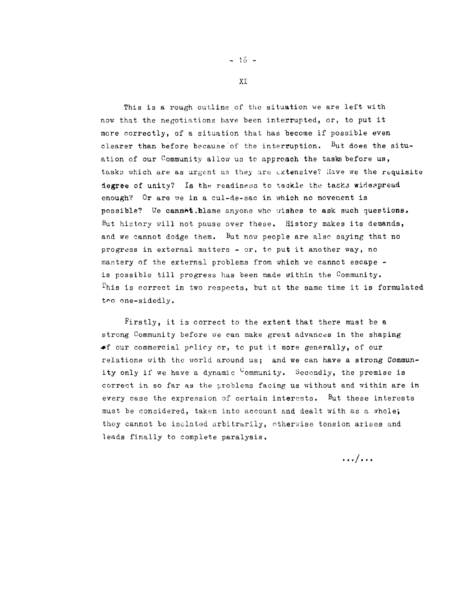This is a rough outline of the situation we are left with now that the negotiations have been interrupted, or, to put it more correctly, of a situation that has become if possible even clearer than before because of the interruption. But does the situation of our Community allow us to approach the tasks before us, tasks which are as urgent as they are extensive? Have we the requisite dogree of unity? Is the readiness to tackle the tasks widespread enough? Or are we in a cul-de-sac in which no movement is possible? We cannet hlame anyone who wishes to ask such questions. But history will not pause over these. History makes its demands, and we cannot dodge them. But now people are also saying that no progress in external matters - or, to put it another way, no mastery of the external problems from which we cannot escape is possible till progress has been made within the Community. This is correct in two respects, but at the same time it is formulated too one-sidedly.

Firstly, it is correct to the extent that there must be a strong Community before we can make great advances in the shaping of our commercial policy or, to put it more generally, of our relations with the world around us: and we can have a strong Community only if we have a dynamic <sup>C</sup>ommunity. Secondly, the premise is correct in so far as the problems facing us without and within are in every case the expression of certain interests. But these interests must be considered, taken into account and dealt with as a whole; they cannot be isolated arbitrarily, otherwise tension arises and leads finally to complete paralysis.

 $\ldots/\ldots$ 

 $-16 -$ 

**XT**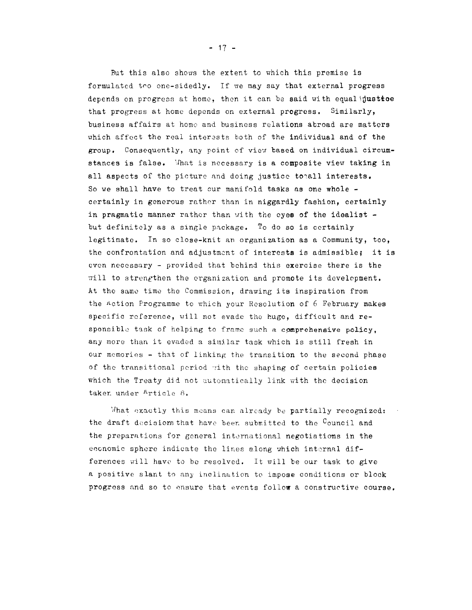But this also shows the extent to which this premise is formulated too one-sidedly. If we may say that external progress depends on progress at home, then it can be said with equal inustice that progress at home depends on external progress, Similarly, business affairs at home' and business relations abroad are matters which affect the real interests both of the individual and of the group. Consequently, any point of view based on individual circumstances is false. 'lhat is necessary is a composite view taking in all aspects of the picture and doing justice totall interests. So we shall have to treat cur manifold tasks as one whole certainly in generous rather than in niggardly fashion, certainly in pragmatic manner rather than with the eyes of the idealist  $$ but definitely as a single pnckage. To do so is certainly legitimate. In so close-knit an organization as a Community, too, the confrontation and adjustment of interests is admissible; it is even necessary - provided that behind this exercise there is the will to strengthen the organization and promote its development. At tho same time the Commission, drawing its inspiration from the Action Programme to which your Resolution of 6 February makes specific reference, will not evade the huge, difficult and responsible task of helping to frame such a comprehensive policy. any more than it evaded a similar task which is still fresh in our memories - that of linking the transition to the second phase of the transitional period with the shaping of certain policies which the Treaty did not automatically link with the decision taker under Article 8.

What exactly this means can already be partially recognized: the draft decisions that have been submitted to the Council and the preparations for general international negotiations in the economic sphere indicate the lines along which internal differences will have to be resolved. It will be our task to give a positive slant to any inclination to impose conditions or block progress nnd so to onsure that events follow a constructive course.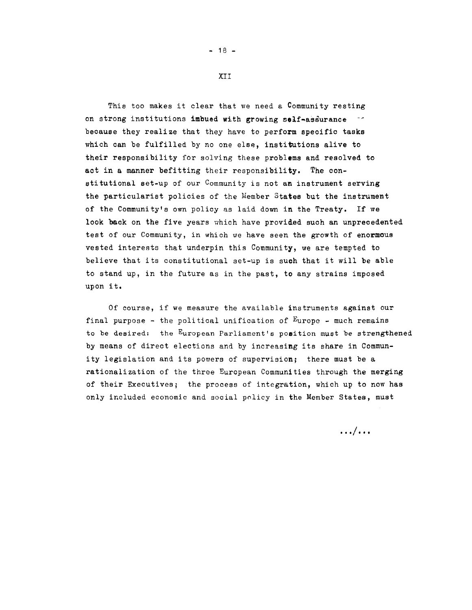## XII

 $- 18 -$ 

This too makes it clear that we need a Community resting on strong institutions imbued with growing self~assurance because they realize that they have to perform specific tasks which can be fulfilled by no one else, institutions alive to their responsibility for solving these problems and resolved to act in a manner befitting their responsibility. The constitutional set-up of our Community is not an instrument serving the particularist policies of the Member States but the instrument of the Community's own policy as laid down in the Treaty. If we look back on the five years which have provided such an unprecedented test of our Community, in which we have seen the growth of enormous vested interests that underpin this Community, we are tempted to believe that its constitutional set-up is such that it will be able to stand up, in the future as in the past, to any strains imposed upon it.

Of course, if we measure the available instruments against our final purpose - the political unification of  $E$ urope - much remains to be desired: the European Parliament's position must be strengthened by means of direct elections and by increasing its share in Community legislation and its powers of supervision; there must be a rationalization of the three European Communities through the merging of their Executives; the process of integration, which up to now has only included economic and social policy in the Member States, must

 $\ldots$   $\ldots$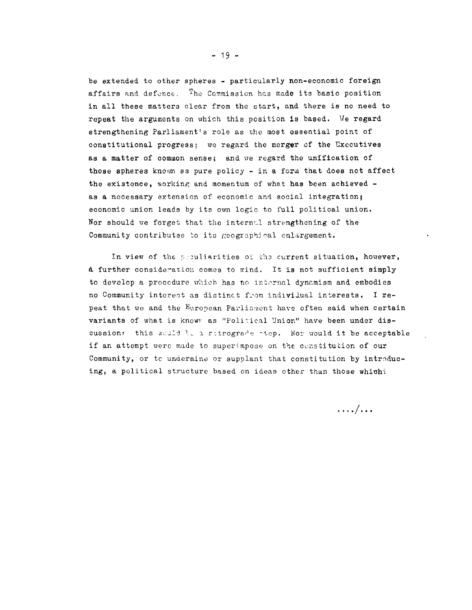be extended to other spheres - particularly non-economic foreign affairs and defence. The Commission has made its basic position in all these matters clear from the start, and there is no need to repeat the arguments on which this position is based. We regard strengthening Parliament's role as the most essential point of constitutional progress; we regard the merger of the Executives as a matter of common sense; and we regard the unffication of those spheres known as pure policy - in a form that does not affect the existence, working and momentum of what has been achieved as a necessary extension of economic and social integration; economic union leads by its own logic to full political union. Nor should we forget that the internal strengthening of the Community contributes to its geographical enlargement.

In view of the prouliarities of the current situation, however, a further consideration comes to mind. It is not sufficient simply to develop a procedure which has no internal dynamism and embodies no Community interest as distinct from individual interests. I repeat that we and the European Parliament have often said when certain variants of what is known as "Political Union" have been under discussion: this would be a retrograde step. Nor would it be acceptable if an attempt were made to superimpose on the constitution of our Community, or to undermine or supplant that constitution by introducing, a political structure based on ideas other than those which

 $\ldots/\ldots$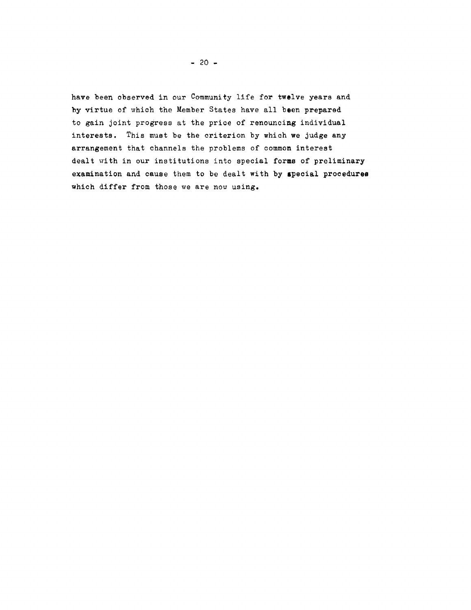have been observed in our Community life for twelve years and by virtue of which the Member States have all been prepared to gain joint progress at the price of renouncing individual interests. This must be the criterion by which we judge any arrangement that channels the problems of common interest dealt with in our institutions into special forms of preliminary examination and cause them to be dealt with by special procedures which differ from those we are now using.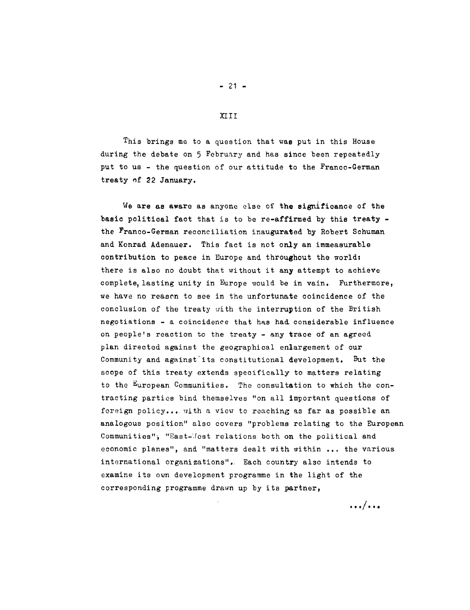This brings me to a question that vas put in this House during the debate on 5 February and has since been repeatedly put to us - the question of our attitude to the Franco-German treaty nf 22 January.

We are as aware as anyone else of the significance of the basic political fact that is to be re-affirmed by this treaty the Franco-German reconciliation inaugurated by Robert Schuman and Konrad Adenauer. This fact is not only an immeasurable contribution to peace in Europe and throughout the world: there is also no doubt that without it any attempt to achieve complete, lasting unity in Europe would be in vain. Furthermore, we have no reasen to see in the unfortunate coincidence of the conclusion of the treaty with the interruption of the British negotiations - a coincidence that has had considerable influence on people's reaction to the treaty- any trace of an agreed plan directed against the geographical enlargement of our Community and against its constitutional development. But the scope of this treaty extends specifically to matters relating to the European Communities. The consultation to which the contracting parties bind themselves "on all important questions of foreign policy... with a view to reaching as far as possible an analogous position" also covers "problems relating to the European Communities", "East-Mest relations both on the political and economic planes", and "matters dealt with within ... the various international organizations". Each country also intends to examine its own development programme in the light of the corresponding programme drawn up by its partner,

XIII

 $- 21 -$ 

.../...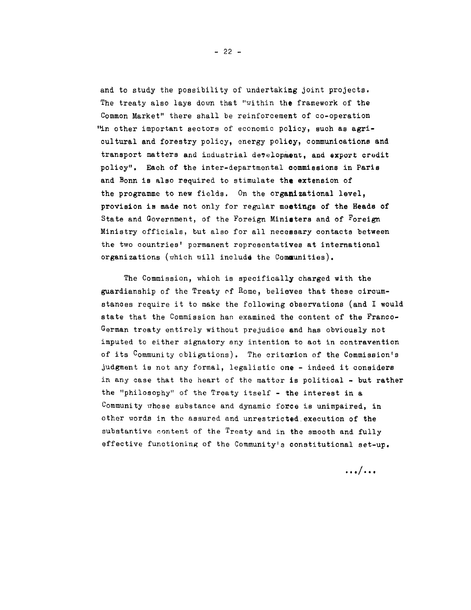and to study the possibility of undertaking joint projects. The treaty also lays down that "within the framework of the Common Market" there shall be reinforcement of co-operation "in other important sectors of economic policy, such as agricultural and forestry policy, energy policy, communications and transport matters and industrial development, and export credit policy". Each of the inter-departmental commissions in Paris and Bonn is also required to stimulate the extension of the programme to new fields. On the organizational level, provision is made not only for regular meetings of the Heads of State and Government, of the Foreign Miniaters and of Foreign Ministry officials, but also for all necessary contacts between the two countries' permanent representatives at international organizations (which will include the Communities).

The Commission, which is specifically charged with the guardianship of the Treaty of Rome, believes that these circumstances require it to make the following observations (and I would state that the Commission has examined the content of the Franco-German treaty entirely without prejudice and has obviously not imputed to either signatory any intention to act in contravention of its Community obligations). The criterion of the Commission's judgment is not any formal, legalistic one - indeed it considers in any case that the heart of the matter is political - but rather the "philosophy" of the Treaty itself - the interest in a Community whose substance and dynamic force is unimpaired, in other words in the assured and unrestricted execution of the substantive content of the Treaty and in the smooth and fully effective functioning of the Community's constitutional set-up.

 $\ldots/$